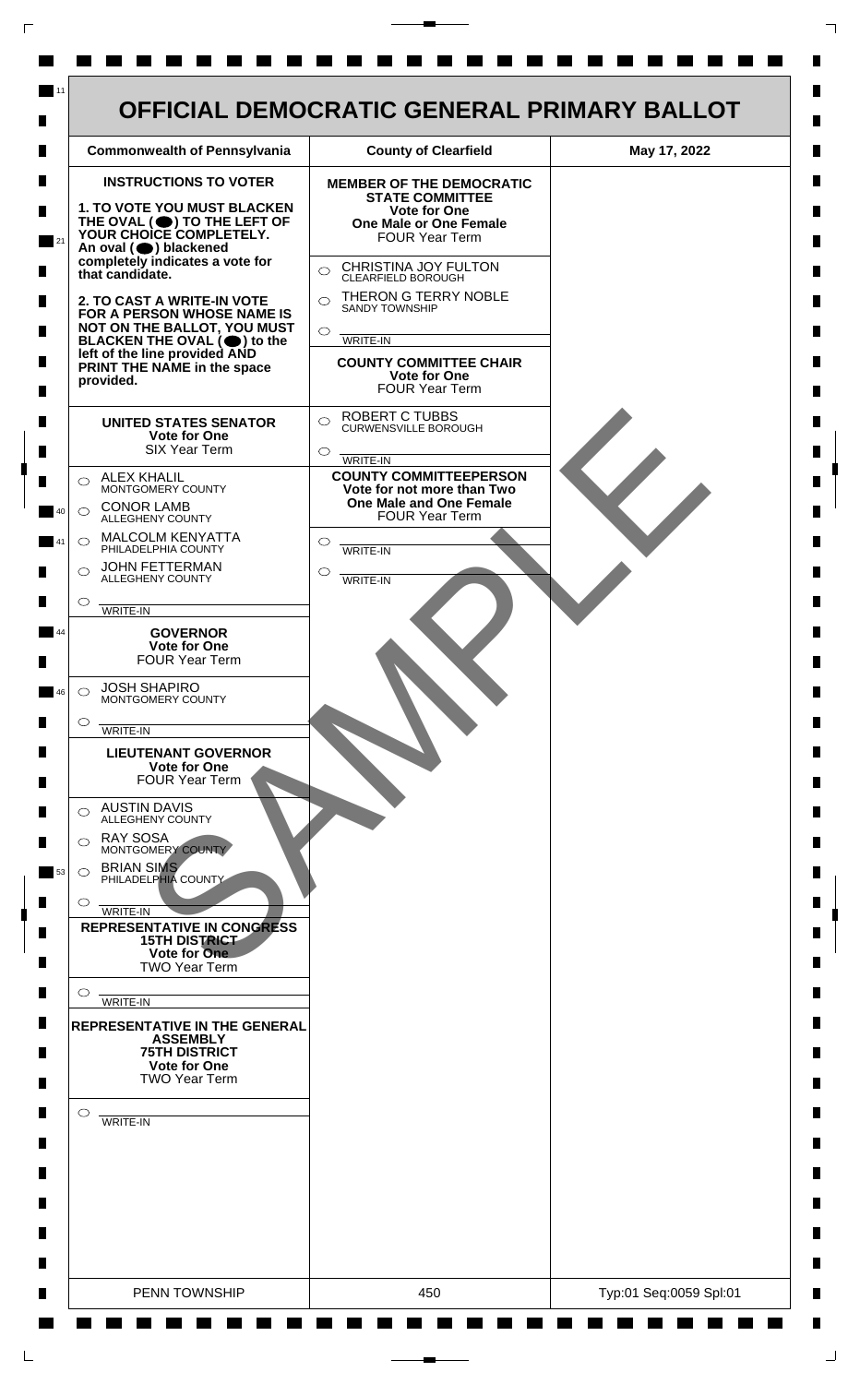